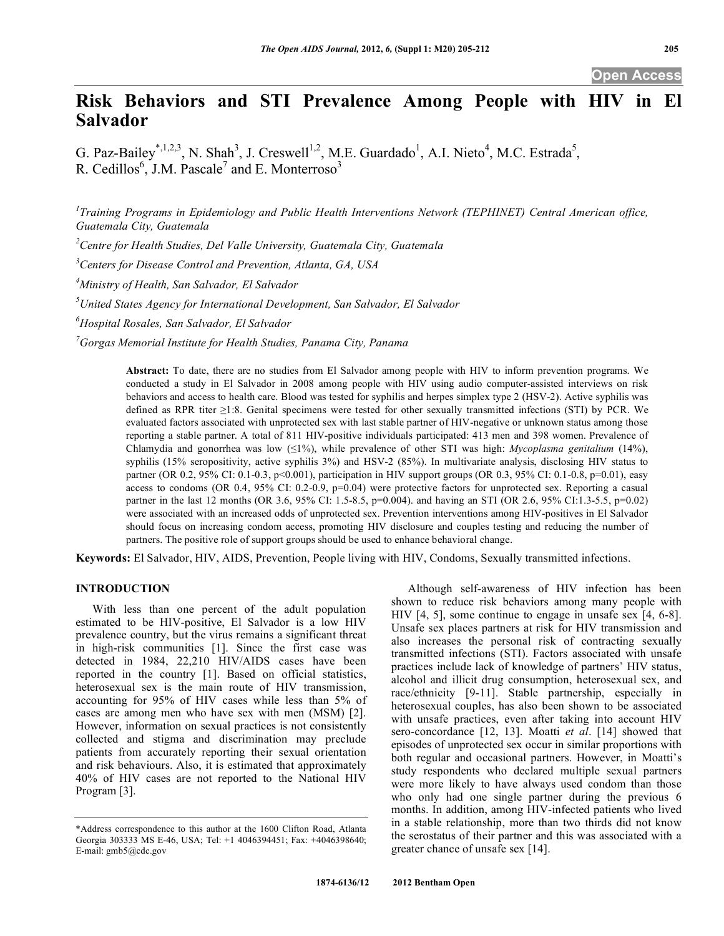# **Risk Behaviors and STI Prevalence Among People with HIV in El Salvador**

G. Paz-Bailey<sup>\*,1,2,3</sup>, N. Shah<sup>3</sup>, J. Creswell<sup>1,2</sup>, M.E. Guardado<sup>1</sup>, A.I. Nieto<sup>4</sup>, M.C. Estrada<sup>5</sup>, R. Cedillos<sup>6</sup>, J.M. Pascale<sup>7</sup> and E. Monterroso<sup>3</sup>

<sup>1</sup> Training Programs in Epidemiology and Public Health Interventions Network (TEPHINET) Central American office, *Guatemala City, Guatemala* 

*2 Centre for Health Studies, Del Valle University, Guatemala City, Guatemala*

*3 Centers for Disease Control and Prevention, Atlanta, GA, USA* 

*4 Ministry of Health, San Salvador, El Salvador*

*5 United States Agency for International Development, San Salvador, El Salvador* 

*6 Hospital Rosales, San Salvador, El Salvador*

*7 Gorgas Memorial Institute for Health Studies, Panama City, Panama* 

**Abstract:** To date, there are no studies from El Salvador among people with HIV to inform prevention programs. We conducted a study in El Salvador in 2008 among people with HIV using audio computer-assisted interviews on risk behaviors and access to health care. Blood was tested for syphilis and herpes simplex type 2 (HSV-2). Active syphilis was defined as RPR titer  $\geq$ 1:8. Genital specimens were tested for other sexually transmitted infections (STI) by PCR. We evaluated factors associated with unprotected sex with last stable partner of HIV-negative or unknown status among those reporting a stable partner. A total of 811 HIV-positive individuals participated: 413 men and 398 women. Prevalence of Chlamydia and gonorrhea was low ( $\leq 1\%$ ), while prevalence of other STI was high: *Mycoplasma genitalium* (14%), syphilis (15% seropositivity, active syphilis 3%) and HSV-2 (85%). In multivariate analysis, disclosing HIV status to partner (OR 0.2, 95% CI: 0.1-0.3, p<0.001), participation in HIV support groups (OR 0.3, 95% CI: 0.1-0.8, p=0.01), easy access to condoms (OR 0.4, 95% CI: 0.2-0.9, p=0.04) were protective factors for unprotected sex. Reporting a casual partner in the last 12 months (OR 3.6, 95% CI: 1.5-8.5, p=0.004). and having an STI (OR 2.6, 95% CI:1.3-5.5, p=0.02) were associated with an increased odds of unprotected sex. Prevention interventions among HIV-positives in El Salvador should focus on increasing condom access, promoting HIV disclosure and couples testing and reducing the number of partners. The positive role of support groups should be used to enhance behavioral change.

**Keywords:** El Salvador, HIV, AIDS, Prevention, People living with HIV, Condoms, Sexually transmitted infections.

# **INTRODUCTION**

 With less than one percent of the adult population estimated to be HIV-positive, El Salvador is a low HIV prevalence country, but the virus remains a significant threat in high-risk communities [1]. Since the first case was detected in 1984, 22,210 HIV/AIDS cases have been reported in the country [1]. Based on official statistics, heterosexual sex is the main route of HIV transmission, accounting for 95% of HIV cases while less than 5% of cases are among men who have sex with men (MSM) [2]. However, information on sexual practices is not consistently collected and stigma and discrimination may preclude patients from accurately reporting their sexual orientation and risk behaviours. Also, it is estimated that approximately 40% of HIV cases are not reported to the National HIV Program [3].

 Although self-awareness of HIV infection has been shown to reduce risk behaviors among many people with HIV [4, 5], some continue to engage in unsafe sex [4, 6-8]. Unsafe sex places partners at risk for HIV transmission and also increases the personal risk of contracting sexually transmitted infections (STI). Factors associated with unsafe practices include lack of knowledge of partners' HIV status, alcohol and illicit drug consumption, heterosexual sex, and race/ethnicity [9-11]. Stable partnership, especially in heterosexual couples, has also been shown to be associated with unsafe practices, even after taking into account HIV sero-concordance [12, 13]. Moatti *et al*. [14] showed that episodes of unprotected sex occur in similar proportions with both regular and occasional partners. However, in Moatti's study respondents who declared multiple sexual partners were more likely to have always used condom than those who only had one single partner during the previous 6 months. In addition, among HIV-infected patients who lived in a stable relationship, more than two thirds did not know the serostatus of their partner and this was associated with a greater chance of unsafe sex [14].

<sup>\*</sup>Address correspondence to this author at the 1600 Clifton Road, Atlanta Georgia 303333 MS E-46, USA; Tel: +1 4046394451; Fax: +4046398640; E-mail: gmb5@cdc.gov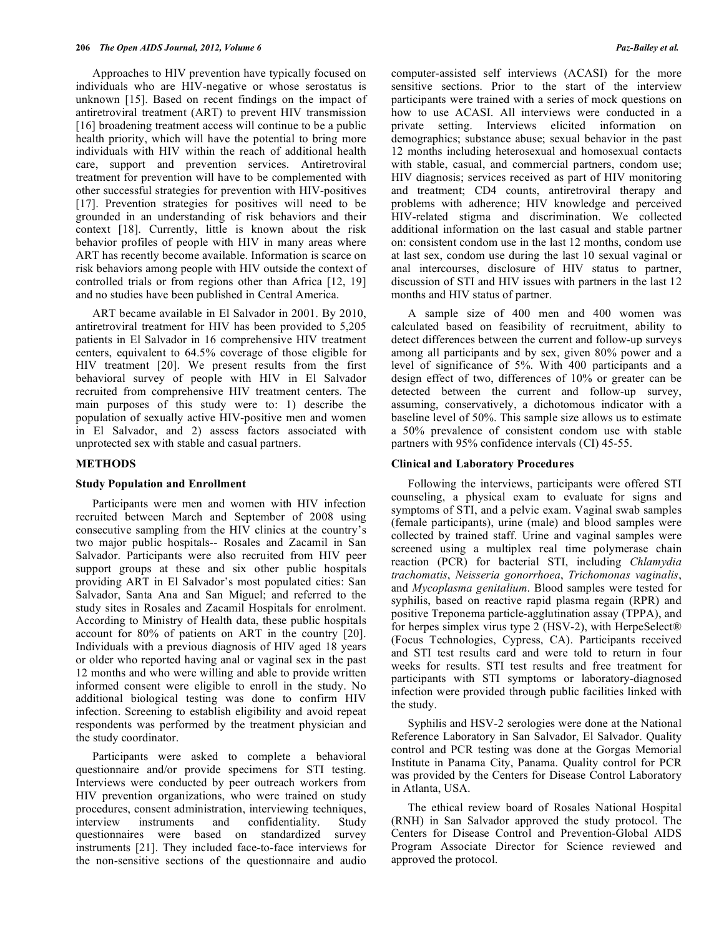Approaches to HIV prevention have typically focused on individuals who are HIV-negative or whose serostatus is unknown [15]. Based on recent findings on the impact of antiretroviral treatment (ART) to prevent HIV transmission [16] broadening treatment access will continue to be a public health priority, which will have the potential to bring more individuals with HIV within the reach of additional health care, support and prevention services. Antiretroviral treatment for prevention will have to be complemented with other successful strategies for prevention with HIV-positives [17]. Prevention strategies for positives will need to be grounded in an understanding of risk behaviors and their context [18]. Currently, little is known about the risk behavior profiles of people with HIV in many areas where ART has recently become available. Information is scarce on risk behaviors among people with HIV outside the context of controlled trials or from regions other than Africa [12, 19] and no studies have been published in Central America.

 ART became available in El Salvador in 2001. By 2010, antiretroviral treatment for HIV has been provided to 5,205 patients in El Salvador in 16 comprehensive HIV treatment centers, equivalent to 64.5% coverage of those eligible for HIV treatment [20]. We present results from the first behavioral survey of people with HIV in El Salvador recruited from comprehensive HIV treatment centers. The main purposes of this study were to: 1) describe the population of sexually active HIV-positive men and women in El Salvador, and 2) assess factors associated with unprotected sex with stable and casual partners.

#### **METHODS**

#### **Study Population and Enrollment**

 Participants were men and women with HIV infection recruited between March and September of 2008 using consecutive sampling from the HIV clinics at the country's two major public hospitals-- Rosales and Zacamil in San Salvador. Participants were also recruited from HIV peer support groups at these and six other public hospitals providing ART in El Salvador's most populated cities: San Salvador, Santa Ana and San Miguel; and referred to the study sites in Rosales and Zacamil Hospitals for enrolment. According to Ministry of Health data, these public hospitals account for 80% of patients on ART in the country [20]. Individuals with a previous diagnosis of HIV aged 18 years or older who reported having anal or vaginal sex in the past 12 months and who were willing and able to provide written informed consent were eligible to enroll in the study. No additional biological testing was done to confirm HIV infection. Screening to establish eligibility and avoid repeat respondents was performed by the treatment physician and the study coordinator.

 Participants were asked to complete a behavioral questionnaire and/or provide specimens for STI testing. Interviews were conducted by peer outreach workers from HIV prevention organizations, who were trained on study procedures, consent administration, interviewing techniques, interview instruments and confidentiality. Study questionnaires were based on standardized survey instruments [21]. They included face-to-face interviews for the non-sensitive sections of the questionnaire and audio

computer-assisted self interviews (ACASI) for the more sensitive sections. Prior to the start of the interview participants were trained with a series of mock questions on how to use ACASI. All interviews were conducted in a private setting. Interviews elicited information on demographics; substance abuse; sexual behavior in the past 12 months including heterosexual and homosexual contacts with stable, casual, and commercial partners, condom use; HIV diagnosis; services received as part of HIV monitoring and treatment; CD4 counts, antiretroviral therapy and problems with adherence; HIV knowledge and perceived HIV-related stigma and discrimination. We collected additional information on the last casual and stable partner on: consistent condom use in the last 12 months, condom use at last sex, condom use during the last 10 sexual vaginal or anal intercourses, disclosure of HIV status to partner, discussion of STI and HIV issues with partners in the last 12 months and HIV status of partner.

 A sample size of 400 men and 400 women was calculated based on feasibility of recruitment, ability to detect differences between the current and follow-up surveys among all participants and by sex, given 80% power and a level of significance of 5%. With 400 participants and a design effect of two, differences of 10% or greater can be detected between the current and follow-up survey, assuming, conservatively, a dichotomous indicator with a baseline level of 50%. This sample size allows us to estimate a 50% prevalence of consistent condom use with stable partners with 95% confidence intervals (CI) 45-55.

#### **Clinical and Laboratory Procedures**

 Following the interviews, participants were offered STI counseling, a physical exam to evaluate for signs and symptoms of STI, and a pelvic exam. Vaginal swab samples (female participants), urine (male) and blood samples were collected by trained staff. Urine and vaginal samples were screened using a multiplex real time polymerase chain reaction (PCR) for bacterial STI, including *Chlamydia trachomatis*, *Neisseria gonorrhoea*, *Trichomonas vaginalis*, and *Mycoplasma genitalium*. Blood samples were tested for syphilis, based on reactive rapid plasma regain (RPR) and positive Treponema particle-agglutination assay (TPPA), and for herpes simplex virus type 2 (HSV-2), with HerpeSelect<sup>®</sup> (Focus Technologies, Cypress, CA). Participants received and STI test results card and were told to return in four weeks for results. STI test results and free treatment for participants with STI symptoms or laboratory-diagnosed infection were provided through public facilities linked with the study.

 Syphilis and HSV-2 serologies were done at the National Reference Laboratory in San Salvador, El Salvador. Quality control and PCR testing was done at the Gorgas Memorial Institute in Panama City, Panama. Quality control for PCR was provided by the Centers for Disease Control Laboratory in Atlanta, USA.

 The ethical review board of Rosales National Hospital (RNH) in San Salvador approved the study protocol. The Centers for Disease Control and Prevention-Global AIDS Program Associate Director for Science reviewed and approved the protocol.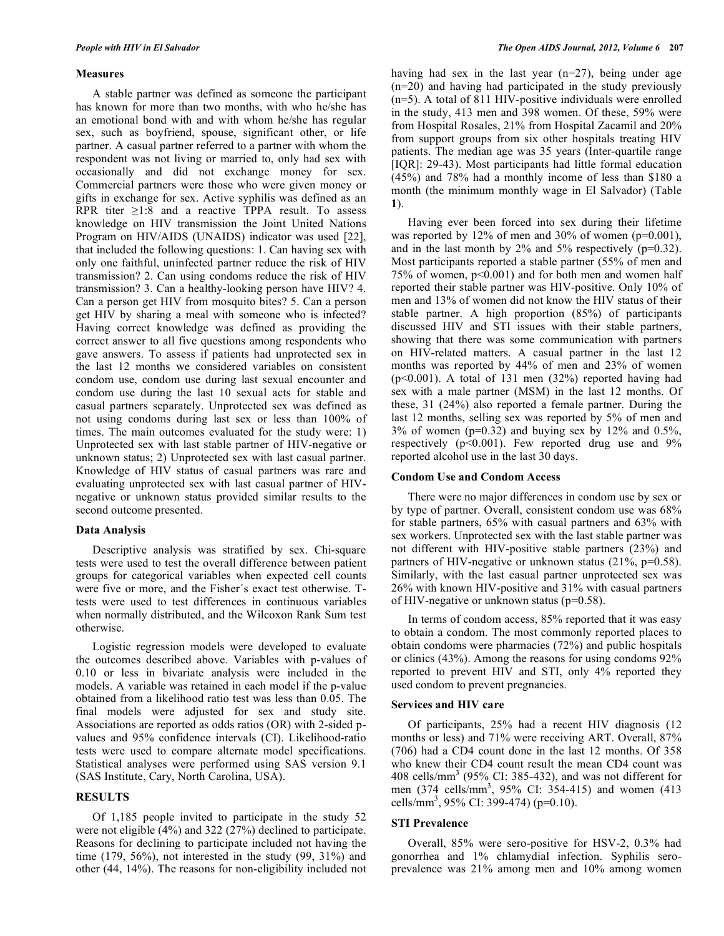#### **Measures**

 A stable partner was defined as someone the participant has known for more than two months, with who he/she has an emotional bond with and with whom he/she has regular sex, such as boyfriend, spouse, significant other, or life partner. A casual partner referred to a partner with whom the respondent was not living or married to, only had sex with occasionally and did not exchange money for sex. Commercial partners were those who were given money or gifts in exchange for sex. Active syphilis was defined as an RPR titer  $\geq 1:8$  and a reactive TPPA result. To assess knowledge on HIV transmission the Joint United Nations Program on HIV/AIDS (UNAIDS) indicator was used [22], that included the following questions: 1. Can having sex with only one faithful, uninfected partner reduce the risk of HIV transmission? 2. Can using condoms reduce the risk of HIV transmission? 3. Can a healthy-looking person have HIV? 4. Can a person get HIV from mosquito bites? 5. Can a person get HIV by sharing a meal with someone who is infected? Having correct knowledge was defined as providing the correct answer to all five questions among respondents who gave answers. To assess if patients had unprotected sex in the last 12 months we considered variables on consistent condom use, condom use during last sexual encounter and condom use during the last 10 sexual acts for stable and casual partners separately. Unprotected sex was defined as not using condoms during last sex or less than 100% of times. The main outcomes evaluated for the study were: 1) Unprotected sex with last stable partner of HIV-negative or unknown status; 2) Unprotected sex with last casual partner. Knowledge of HIV status of casual partners was rare and evaluating unprotected sex with last casual partner of HIVnegative or unknown status provided similar results to the second outcome presented.

## **Data Analysis**

 Descriptive analysis was stratified by sex. Chi-square tests were used to test the overall difference between patient groups for categorical variables when expected cell counts were five or more, and the Fisher´s exact test otherwise. Ttests were used to test differences in continuous variables when normally distributed, and the Wilcoxon Rank Sum test otherwise.

 Logistic regression models were developed to evaluate the outcomes described above. Variables with p-values of 0.10 or less in bivariate analysis were included in the models. A variable was retained in each model if the p-value obtained from a likelihood ratio test was less than 0.05. The final models were adjusted for sex and study site. Associations are reported as odds ratios (OR) with 2-sided pvalues and 95% confidence intervals (CI). Likelihood-ratio tests were used to compare alternate model specifications. Statistical analyses were performed using SAS version 9.1 (SAS Institute, Cary, North Carolina, USA).

# **RESULTS**

 Of 1,185 people invited to participate in the study 52 were not eligible (4%) and 322 (27%) declined to participate. Reasons for declining to participate included not having the time (179, 56%), not interested in the study (99, 31%) and other (44, 14%). The reasons for non-eligibility included not

having had sex in the last year (n=27), being under age (n=20) and having had participated in the study previously (n=5). A total of 811 HIV-positive individuals were enrolled in the study, 413 men and 398 women. Of these, 59% were from Hospital Rosales, 21% from Hospital Zacamil and 20% from support groups from six other hospitals treating HIV patients. The median age was 35 years (Inter-quartile range [IQR]: 29-43). Most participants had little formal education (45%) and 78% had a monthly income of less than \$180 a month (the minimum monthly wage in El Salvador) (Table **1**).

 Having ever been forced into sex during their lifetime was reported by 12% of men and 30% of women ( $p=0.001$ ), and in the last month by 2% and 5% respectively (p=0.32). Most participants reported a stable partner (55% of men and 75% of women, p<0.001) and for both men and women half reported their stable partner was HIV-positive. Only 10% of men and 13% of women did not know the HIV status of their stable partner. A high proportion (85%) of participants discussed HIV and STI issues with their stable partners, showing that there was some communication with partners on HIV-related matters. A casual partner in the last 12 months was reported by 44% of men and 23% of women (p<0.001). A total of 131 men (32%) reported having had sex with a male partner (MSM) in the last 12 months. Of these, 31 (24%) also reported a female partner. During the last 12 months, selling sex was reported by 5% of men and  $3\%$  of women (p=0.32) and buying sex by 12% and 0.5%, respectively  $(p<0.001)$ . Few reported drug use and 9% reported alcohol use in the last 30 days.

#### **Condom Use and Condom Access**

 There were no major differences in condom use by sex or by type of partner. Overall, consistent condom use was 68% for stable partners, 65% with casual partners and 63% with sex workers. Unprotected sex with the last stable partner was not different with HIV-positive stable partners (23%) and partners of HIV-negative or unknown status (21%, p=0.58). Similarly, with the last casual partner unprotected sex was 26% with known HIV-positive and 31% with casual partners of HIV-negative or unknown status (p=0.58).

 In terms of condom access, 85% reported that it was easy to obtain a condom. The most commonly reported places to obtain condoms were pharmacies (72%) and public hospitals or clinics (43%). Among the reasons for using condoms 92% reported to prevent HIV and STI, only 4% reported they used condom to prevent pregnancies.

## **Services and HIV care**

 Of participants, 25% had a recent HIV diagnosis (12 months or less) and 71% were receiving ART. Overall, 87% (706) had a CD4 count done in the last 12 months. Of 358 who knew their CD4 count result the mean CD4 count was 408 cells/mm<sup>3</sup> (95% CI: 385-432), and was not different for men (374 cells/mm<sup>3</sup>, 95% CI: 354-415) and women (413 cells/mm3 , 95% CI: 399-474) (p=0.10).

## **STI Prevalence**

 Overall, 85% were sero-positive for HSV-2, 0.3% had gonorrhea and 1% chlamydial infection. Syphilis seroprevalence was 21% among men and 10% among women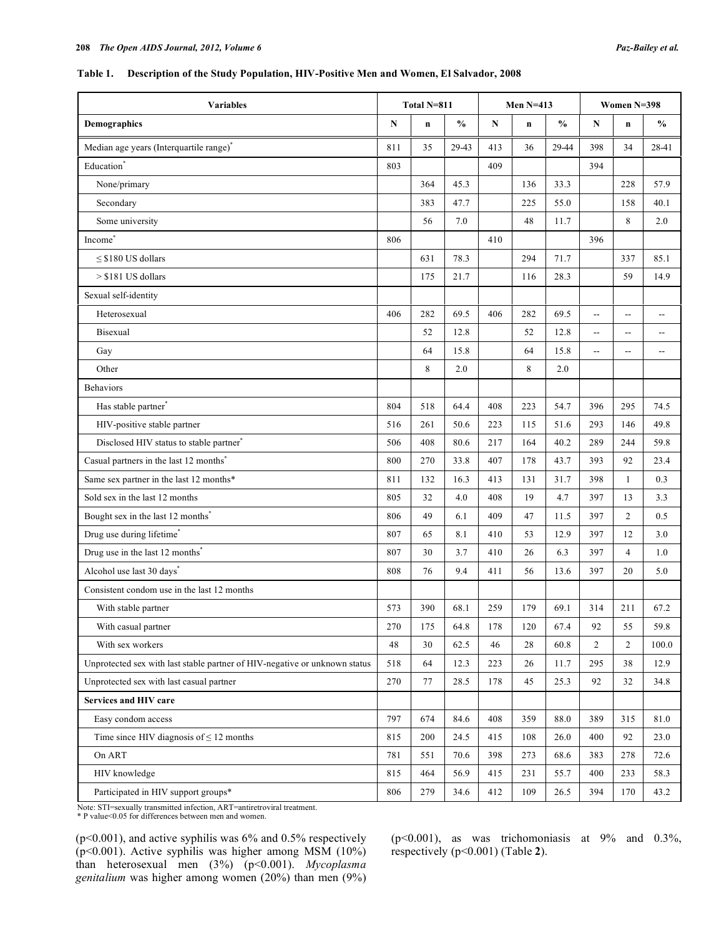## **Table 1. Description of the Study Population, HIV-Positive Men and Women, El Salvador, 2008**

| <b>Variables</b>                                                           | Total N=811 |             |               | <b>Men N=413</b> |     |               | Women N=398              |                          |                          |
|----------------------------------------------------------------------------|-------------|-------------|---------------|------------------|-----|---------------|--------------------------|--------------------------|--------------------------|
| <b>Demographics</b>                                                        |             | $\mathbf n$ | $\frac{0}{0}$ | N                | n   | $\frac{0}{0}$ | N                        | $\mathbf n$              | $\frac{0}{0}$            |
| Median age years (Interquartile range) <sup>*</sup>                        | 811         | 35          | 29-43         | 413              | 36  | 29-44         | 398                      | 34                       | 28-41                    |
| Education <sup>*</sup>                                                     | 803         |             |               | 409              |     |               | 394                      |                          |                          |
| None/primary                                                               |             | 364         | 45.3          |                  | 136 | 33.3          |                          | 228                      | 57.9                     |
| Secondary                                                                  |             | 383         | 47.7          |                  | 225 | 55.0          |                          | 158                      | 40.1                     |
| Some university                                                            |             | 56          | 7.0           |                  | 48  | 11.7          |                          | 8                        | 2.0                      |
| Income <sup>*</sup>                                                        | 806         |             |               | 410              |     |               | 396                      |                          |                          |
| $\leq$ \$180 US dollars                                                    |             | 631         | 78.3          |                  | 294 | 71.7          |                          | 337                      | 85.1                     |
| $> $181$ US dollars                                                        |             | 175         | 21.7          |                  | 116 | 28.3          |                          | 59                       | 14.9                     |
| Sexual self-identity                                                       |             |             |               |                  |     |               |                          |                          |                          |
| Heterosexual                                                               | 406         | 282         | 69.5          | 406              | 282 | 69.5          | Ξ.                       | Щ,                       | $\overline{\phantom{a}}$ |
| Bisexual                                                                   |             | 52          | 12.8          |                  | 52  | 12.8          | --                       | $- -$                    | $\overline{\phantom{a}}$ |
| Gay                                                                        |             | 64          | 15.8          |                  | 64  | 15.8          | $\overline{\phantom{a}}$ | $\overline{\phantom{a}}$ | $\overline{\phantom{a}}$ |
| Other                                                                      |             | 8           | 2.0           |                  | 8   | 2.0           |                          |                          |                          |
| <b>Behaviors</b>                                                           |             |             |               |                  |     |               |                          |                          |                          |
| Has stable partner <sup>*</sup>                                            | 804         | 518         | 64.4          | 408              | 223 | 54.7          | 396                      | 295                      | 74.5                     |
| HIV-positive stable partner                                                | 516         | 261         | 50.6          | 223              | 115 | 51.6          | 293                      | 146                      | 49.8                     |
| Disclosed HIV status to stable partner <sup>®</sup>                        | 506         | 408         | 80.6          | 217              | 164 | 40.2          | 289                      | 244                      | 59.8                     |
| Casual partners in the last 12 months <sup>*</sup>                         | 800         | 270         | 33.8          | 407              | 178 | 43.7          | 393                      | 92                       | 23.4                     |
| Same sex partner in the last 12 months*                                    | 811         | 132         | 16.3          | 413              | 131 | 31.7          | 398                      | 1                        | 0.3                      |
| Sold sex in the last 12 months                                             | 805         | 32          | 4.0           | 408              | 19  | 4.7           | 397                      | 13                       | 3.3                      |
| Bought sex in the last 12 months <sup>*</sup>                              | 806         | 49          | 6.1           | 409              | 47  | 11.5          | 397                      | $\overline{c}$           | 0.5                      |
| Drug use during lifetime*                                                  | 807         | 65          | 8.1           | 410              | 53  | 12.9          | 397                      | 12                       | 3.0                      |
| Drug use in the last 12 months <sup>*</sup>                                | 807         | 30          | 3.7           | 410              | 26  | 6.3           | 397                      | $\overline{4}$           | 1.0                      |
| Alcohol use last 30 days <sup>*</sup>                                      | 808         | 76          | 9.4           | 411              | 56  | 13.6          | 397                      | 20                       | 5.0                      |
| Consistent condom use in the last 12 months                                |             |             |               |                  |     |               |                          |                          |                          |
| With stable partner                                                        | 573         | 390         | 68.1          | 259              | 179 | 69.1          | 314                      | 211                      | 67.2                     |
| With casual partner                                                        | 270         | 175         | 64.8          | 178              | 120 | 67.4          | 92                       | 55                       | 59.8                     |
| With sex workers                                                           | 48          | 30          | 62.5          | 46               | 28  | 60.8          | $\overline{c}$           | $\overline{2}$           | 100.0                    |
| Unprotected sex with last stable partner of HIV-negative or unknown status | 518         | 64          | 12.3          | 223              | 26  | 11.7          | 295                      | 38                       | 12.9                     |
| Unprotected sex with last casual partner                                   | 270         | 77          | 28.5          | 178              | 45  | 25.3          | 92                       | 32                       | 34.8                     |
| Services and HIV care                                                      |             |             |               |                  |     |               |                          |                          |                          |
| Easy condom access                                                         | 797         | 674         | 84.6          | 408              | 359 | 88.0          | 389                      | 315                      | 81.0                     |
| Time since HIV diagnosis of $\leq 12$ months                               | 815         | 200         | 24.5          | 415              | 108 | 26.0          | 400                      | 92                       | 23.0                     |
| On ART                                                                     | 781         | 551         | 70.6          | 398              | 273 | 68.6          | 383                      | 278                      | 72.6                     |
| HIV knowledge                                                              | 815         | 464         | 56.9          | 415              | 231 | 55.7          | 400                      | 233                      | 58.3                     |
| Participated in HIV support groups*                                        | 806         | 279         | 34.6          | 412              | 109 | 26.5          | 394                      | 170                      | 43.2                     |

Note: STI=sexually transmitted infection, ART=antiretroviral treatment.<br>\* P value<0.05 for differences between men and women.

(p<0.001), and active syphilis was 6% and 0.5% respectively (p<0.001). Active syphilis was higher among MSM (10%) than heterosexual men (3%) (p<0.001). *Mycoplasma genitalium* was higher among women (20%) than men (9%)

(p<0.001), as was trichomoniasis at 9% and 0.3%, respectively (p<0.001) (Table **2**).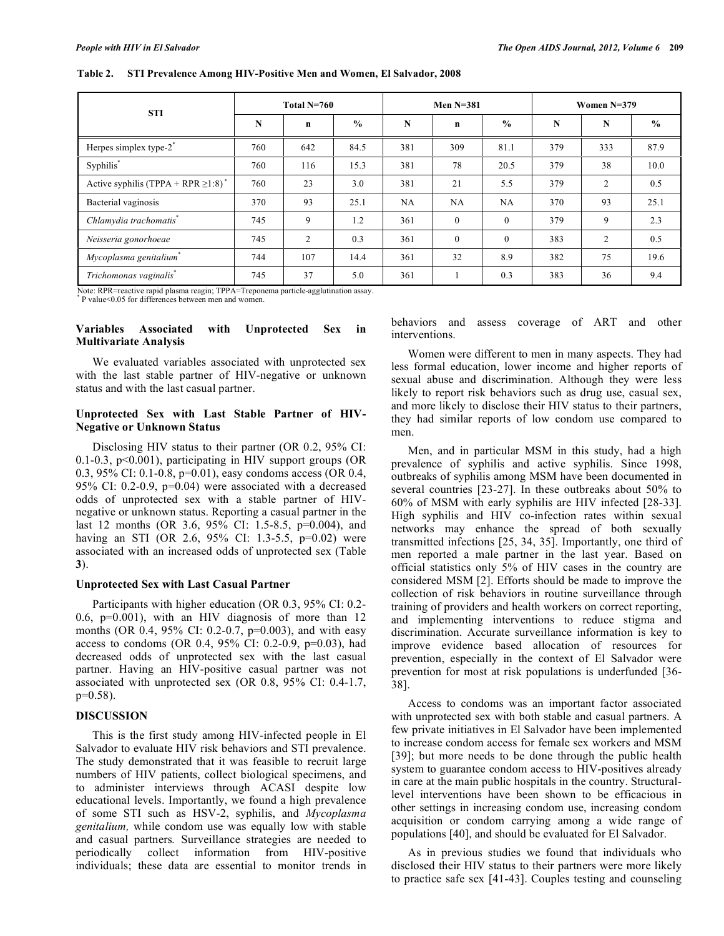| <b>STI</b>                                           | Total N=760 |             |               |     | Men $N=381$ |               | Women $N=379$ |     |               |  |
|------------------------------------------------------|-------------|-------------|---------------|-----|-------------|---------------|---------------|-----|---------------|--|
|                                                      | N           | $\mathbf n$ | $\frac{0}{0}$ | N   | $\mathbf n$ | $\frac{0}{0}$ | N             | N   | $\frac{0}{0}$ |  |
| Herpes simplex type-2 <sup>*</sup>                   | 760         | 642         | 84.5          | 381 | 309         | 81.1          | 379           | 333 | 87.9          |  |
| Syphilis*                                            | 760         | 116         | 15.3          | 381 | 78          | 20.5          | 379           | 38  | 10.0          |  |
| Active syphilis (TPPA + RPR $\geq$ 1:8) <sup>*</sup> | 760         | 23          | 3.0           | 381 | 21          | 5.5           | 379           | 2   | 0.5           |  |
| Bacterial vaginosis                                  | 370         | 93          | 25.1          | NA  | NA          | NA            | 370           | 93  | 25.1          |  |
| Chlamydia trachomatis*                               | 745         | 9           | 1.2           | 361 | $\theta$    | $\theta$      | 379           | 9   | 2.3           |  |
| Neisseria gonorhoeae                                 | 745         | 2           | 0.3           | 361 | $\theta$    | $\theta$      | 383           | 2   | 0.5           |  |
| Mycoplasma genitalium*                               | 744         | 107         | 14.4          | 361 | 32          | 8.9           | 382           | 75  | 19.6          |  |
| Trichomonas vaginalis <sup>*</sup>                   | 745         | 37          | 5.0           | 361 |             | 0.3           | 383           | 36  | 9.4           |  |

**Table 2. STI Prevalence Among HIV-Positive Men and Women, El Salvador, 2008** 

Note: RPR=reactive rapid plasma reagin; TPPA=Treponema particle-agglutination assay.

\* P value<0.05 for differences between men and women.

## **Variables Associated with Unprotected Sex in Multivariate Analysis**

 We evaluated variables associated with unprotected sex with the last stable partner of HIV-negative or unknown status and with the last casual partner.

## **Unprotected Sex with Last Stable Partner of HIV-Negative or Unknown Status**

 Disclosing HIV status to their partner (OR 0.2, 95% CI: 0.1-0.3, p<0.001), participating in HIV support groups (OR 0.3, 95% CI: 0.1-0.8, p=0.01), easy condoms access (OR 0.4, 95% CI: 0.2-0.9, p=0.04) were associated with a decreased odds of unprotected sex with a stable partner of HIVnegative or unknown status. Reporting a casual partner in the last 12 months (OR 3.6, 95% CI: 1.5-8.5, p=0.004), and having an STI (OR 2.6, 95% CI: 1.3-5.5, p=0.02) were associated with an increased odds of unprotected sex (Table **3**).

# **Unprotected Sex with Last Casual Partner**

 Participants with higher education (OR 0.3, 95% CI: 0.2- 0.6, p=0.001), with an HIV diagnosis of more than 12 months (OR 0.4, 95% CI: 0.2-0.7, p=0.003), and with easy access to condoms (OR 0.4, 95% CI: 0.2-0.9, p=0.03), had decreased odds of unprotected sex with the last casual partner. Having an HIV-positive casual partner was not associated with unprotected sex (OR 0.8, 95% CI: 0.4-1.7, p=0.58).

# **DISCUSSION**

 This is the first study among HIV-infected people in El Salvador to evaluate HIV risk behaviors and STI prevalence. The study demonstrated that it was feasible to recruit large numbers of HIV patients, collect biological specimens, and to administer interviews through ACASI despite low educational levels. Importantly, we found a high prevalence of some STI such as HSV-2, syphilis, and *Mycoplasma genitalium,* while condom use was equally low with stable and casual partners*.* Surveillance strategies are needed to periodically collect information from HIV-positive individuals; these data are essential to monitor trends in

behaviors and assess coverage of ART and other interventions.

 Women were different to men in many aspects. They had less formal education, lower income and higher reports of sexual abuse and discrimination. Although they were less likely to report risk behaviors such as drug use, casual sex, and more likely to disclose their HIV status to their partners, they had similar reports of low condom use compared to men.

 Men, and in particular MSM in this study, had a high prevalence of syphilis and active syphilis. Since 1998, outbreaks of syphilis among MSM have been documented in several countries [23-27]. In these outbreaks about 50% to 60% of MSM with early syphilis are HIV infected [28-33]. High syphilis and HIV co-infection rates within sexual networks may enhance the spread of both sexually transmitted infections [25, 34, 35]. Importantly, one third of men reported a male partner in the last year. Based on official statistics only 5% of HIV cases in the country are considered MSM [2]. Efforts should be made to improve the collection of risk behaviors in routine surveillance through training of providers and health workers on correct reporting, and implementing interventions to reduce stigma and discrimination. Accurate surveillance information is key to improve evidence based allocation of resources for prevention, especially in the context of El Salvador were prevention for most at risk populations is underfunded [36- 38].

 Access to condoms was an important factor associated with unprotected sex with both stable and casual partners. A few private initiatives in El Salvador have been implemented to increase condom access for female sex workers and MSM [39]; but more needs to be done through the public health system to guarantee condom access to HIV-positives already in care at the main public hospitals in the country. Structurallevel interventions have been shown to be efficacious in other settings in increasing condom use, increasing condom acquisition or condom carrying among a wide range of populations [40], and should be evaluated for El Salvador.

 As in previous studies we found that individuals who disclosed their HIV status to their partners were more likely to practice safe sex [41-43]. Couples testing and counseling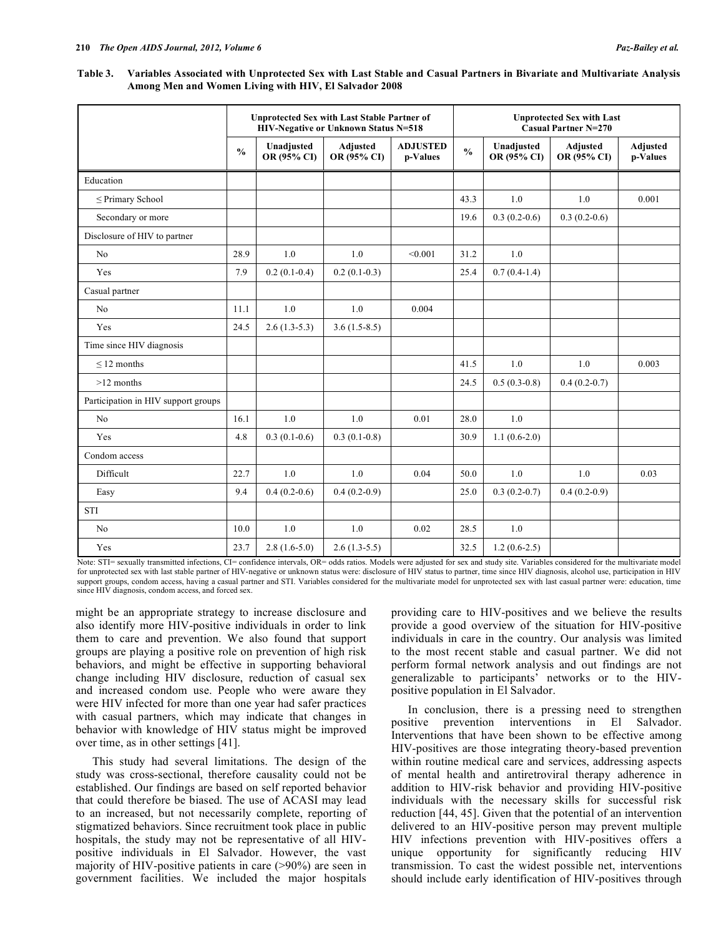**Table 3. Variables Associated with Unprotected Sex with Last Stable and Casual Partners in Bivariate and Multivariate Analysis Among Men and Women Living with HIV, El Salvador 2008** 

|                                     | <b>Unprotected Sex with Last Stable Partner of</b><br>HIV-Negative or Unknown Status N=518 |                           |                                |                             |               | <b>Unprotected Sex with Last</b><br><b>Casual Partner N=270</b> |                                |                             |  |  |  |
|-------------------------------------|--------------------------------------------------------------------------------------------|---------------------------|--------------------------------|-----------------------------|---------------|-----------------------------------------------------------------|--------------------------------|-----------------------------|--|--|--|
|                                     | $\frac{0}{0}$                                                                              | Unadjusted<br>OR (95% CI) | <b>Adjusted</b><br>OR (95% CI) | <b>ADJUSTED</b><br>p-Values | $\frac{0}{0}$ | Unadjusted<br>OR (95% CI)                                       | <b>Adjusted</b><br>OR (95% CI) | <b>Adjusted</b><br>p-Values |  |  |  |
| Education                           |                                                                                            |                           |                                |                             |               |                                                                 |                                |                             |  |  |  |
| $\leq$ Primary School               |                                                                                            |                           |                                |                             | 43.3          | 1.0                                                             | 1.0                            | 0.001                       |  |  |  |
| Secondary or more                   |                                                                                            |                           |                                |                             | 19.6          | $0.3(0.2-0.6)$                                                  | $0.3(0.2-0.6)$                 |                             |  |  |  |
| Disclosure of HIV to partner        |                                                                                            |                           |                                |                             |               |                                                                 |                                |                             |  |  |  |
| No                                  | 28.9                                                                                       | 1.0                       | 1.0                            | < 0.001                     | 31.2          | 1.0                                                             |                                |                             |  |  |  |
| Yes                                 | 7.9                                                                                        | $0.2(0.1-0.4)$            | $0.2(0.1-0.3)$                 |                             | 25.4          | $0.7(0.4-1.4)$                                                  |                                |                             |  |  |  |
| Casual partner                      |                                                                                            |                           |                                |                             |               |                                                                 |                                |                             |  |  |  |
| N <sub>0</sub>                      | 11.1                                                                                       | 1.0                       | 1.0                            | 0.004                       |               |                                                                 |                                |                             |  |  |  |
| Yes                                 | 24.5                                                                                       | $2.6(1.3-5.3)$            | $3.6(1.5-8.5)$                 |                             |               |                                                                 |                                |                             |  |  |  |
| Time since HIV diagnosis            |                                                                                            |                           |                                |                             |               |                                                                 |                                |                             |  |  |  |
| $\leq$ 12 months                    |                                                                                            |                           |                                |                             | 41.5          | 1.0                                                             | 1.0                            | 0.003                       |  |  |  |
| $>12$ months                        |                                                                                            |                           |                                |                             | 24.5          | $0.5(0.3-0.8)$                                                  | $0.4(0.2-0.7)$                 |                             |  |  |  |
| Participation in HIV support groups |                                                                                            |                           |                                |                             |               |                                                                 |                                |                             |  |  |  |
| No                                  | 16.1                                                                                       | 1.0                       | 1.0                            | 0.01                        | 28.0          | 1.0                                                             |                                |                             |  |  |  |
| Yes                                 | 4.8                                                                                        | $0.3(0.1-0.6)$            | $0.3(0.1-0.8)$                 |                             | 30.9          | $1.1(0.6-2.0)$                                                  |                                |                             |  |  |  |
| Condom access                       |                                                                                            |                           |                                |                             |               |                                                                 |                                |                             |  |  |  |
| Difficult                           | 22.7                                                                                       | 1.0                       | 1.0                            | 0.04                        | 50.0          | 1.0                                                             | 1.0                            | 0.03                        |  |  |  |
| Easy                                | 9.4                                                                                        | $0.4(0.2-0.6)$            | $0.4(0.2-0.9)$                 |                             | 25.0          | $0.3(0.2-0.7)$                                                  | $0.4(0.2-0.9)$                 |                             |  |  |  |
| <b>STI</b>                          |                                                                                            |                           |                                |                             |               |                                                                 |                                |                             |  |  |  |
| No                                  | 10.0                                                                                       | 1.0                       | 1.0                            | 0.02                        | 28.5          | 1.0                                                             |                                |                             |  |  |  |
| Yes                                 | 23.7                                                                                       | $2.8(1.6-5.0)$            | $2.6(1.3-5.5)$                 |                             | 32.5          | $1.2(0.6-2.5)$                                                  |                                |                             |  |  |  |

Note: STI= sexually transmitted infections, CI= confidence intervals, OR= odds ratios. Models were adjusted for sex and study site. Variables considered for the multivariate model for unprotected sex with last stable partner of HIV-negative or unknown status were: disclosure of HIV status to partner, time since HIV diagnosis, alcohol use, participation in HIV support groups, condom access, having a casual partner and STI. Variables considered for the multivariate model for unprotected sex with last casual partner were: education, time since HIV diagnosis, condom access, and forced sex.

might be an appropriate strategy to increase disclosure and also identify more HIV-positive individuals in order to link them to care and prevention. We also found that support groups are playing a positive role on prevention of high risk behaviors, and might be effective in supporting behavioral change including HIV disclosure, reduction of casual sex and increased condom use. People who were aware they were HIV infected for more than one year had safer practices with casual partners, which may indicate that changes in behavior with knowledge of HIV status might be improved over time, as in other settings [41].

 This study had several limitations. The design of the study was cross-sectional, therefore causality could not be established. Our findings are based on self reported behavior that could therefore be biased. The use of ACASI may lead to an increased, but not necessarily complete, reporting of stigmatized behaviors. Since recruitment took place in public hospitals, the study may not be representative of all HIVpositive individuals in El Salvador. However, the vast majority of HIV-positive patients in care (>90%) are seen in government facilities. We included the major hospitals

providing care to HIV-positives and we believe the results provide a good overview of the situation for HIV-positive individuals in care in the country. Our analysis was limited to the most recent stable and casual partner. We did not perform formal network analysis and out findings are not generalizable to participants' networks or to the HIVpositive population in El Salvador.

 In conclusion, there is a pressing need to strengthen positive prevention interventions in El Salvador. Interventions that have been shown to be effective among HIV-positives are those integrating theory-based prevention within routine medical care and services, addressing aspects of mental health and antiretroviral therapy adherence in addition to HIV-risk behavior and providing HIV-positive individuals with the necessary skills for successful risk reduction [44, 45]. Given that the potential of an intervention delivered to an HIV-positive person may prevent multiple HIV infections prevention with HIV-positives offers a unique opportunity for significantly reducing HIV transmission. To cast the widest possible net, interventions should include early identification of HIV-positives through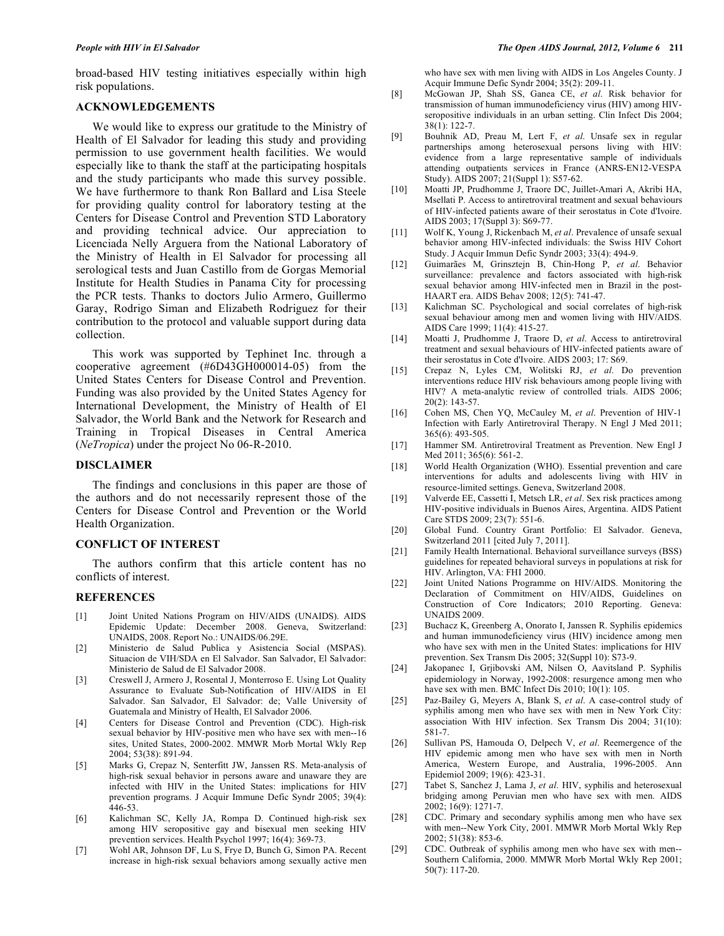broad-based HIV testing initiatives especially within high risk populations.

### **ACKNOWLEDGEMENTS**

 We would like to express our gratitude to the Ministry of Health of El Salvador for leading this study and providing permission to use government health facilities. We would especially like to thank the staff at the participating hospitals and the study participants who made this survey possible. We have furthermore to thank Ron Ballard and Lisa Steele for providing quality control for laboratory testing at the Centers for Disease Control and Prevention STD Laboratory and providing technical advice. Our appreciation to Licenciada Nelly Arguera from the National Laboratory of the Ministry of Health in El Salvador for processing all serological tests and Juan Castillo from de Gorgas Memorial Institute for Health Studies in Panama City for processing the PCR tests. Thanks to doctors Julio Armero, Guillermo Garay, Rodrigo Siman and Elizabeth Rodriguez for their contribution to the protocol and valuable support during data collection.

 This work was supported by Tephinet Inc. through a cooperative agreement (#6D43GH000014-05) from the United States Centers for Disease Control and Prevention. Funding was also provided by the United States Agency for International Development, the Ministry of Health of El Salvador, the World Bank and the Network for Research and Training in Tropical Diseases in Central America (*NeTropica*) under the project No 06-R-2010.

## **DISCLAIMER**

 The findings and conclusions in this paper are those of the authors and do not necessarily represent those of the Centers for Disease Control and Prevention or the World Health Organization.

## **CONFLICT OF INTEREST**

 The authors confirm that this article content has no conflicts of interest.

#### **REFERENCES**

- [1] Joint United Nations Program on HIV/AIDS (UNAIDS). AIDS Epidemic Update: December 2008. Geneva, Switzerland: UNAIDS, 2008. Report No.: UNAIDS/06.29E.
- [2] Ministerio de Salud Publica y Asistencia Social (MSPAS). Situacion de VIH/SDA en El Salvador. San Salvador, El Salvador: Ministerio de Salud de El Salvador 2008.
- [3] Creswell J, Armero J, Rosental J, Monterroso E. Using Lot Quality Assurance to Evaluate Sub-Notification of HIV/AIDS in El Salvador. San Salvador, El Salvador: de; Valle University of Guatemala and Ministry of Health, El Salvador 2006.
- [4] Centers for Disease Control and Prevention (CDC). High-risk sexual behavior by HIV-positive men who have sex with men--16 sites, United States, 2000-2002. MMWR Morb Mortal Wkly Rep 2004; 53(38): 891-94.
- [5] Marks G, Crepaz N, Senterfitt JW, Janssen RS. Meta-analysis of high-risk sexual behavior in persons aware and unaware they are infected with HIV in the United States: implications for HIV prevention programs. J Acquir Immune Defic Syndr 2005; 39(4): 446-53.
- [6] Kalichman SC, Kelly JA, Rompa D. Continued high-risk sex among HIV seropositive gay and bisexual men seeking HIV prevention services. Health Psychol 1997; 16(4): 369-73.
- [7] Wohl AR, Johnson DF, Lu S, Frye D, Bunch G, Simon PA. Recent increase in high-risk sexual behaviors among sexually active men

who have sex with men living with AIDS in Los Angeles County. J Acquir Immune Defic Syndr 2004; 35(2): 209-11.

- [8] McGowan JP, Shah SS, Ganea CE, *et al*. Risk behavior for transmission of human immunodeficiency virus (HIV) among HIVseropositive individuals in an urban setting. Clin Infect Dis 2004; 38(1): 122-7.
- [9] Bouhnik AD, Preau M, Lert F, *et al*. Unsafe sex in regular partnerships among heterosexual persons living with HIV: evidence from a large representative sample of individuals attending outpatients services in France (ANRS-EN12-VESPA Study). AIDS 2007; 21(Suppl 1): S57-62.
- [10] Moatti JP, Prudhomme J, Traore DC, Juillet-Amari A, Akribi HA, Msellati P. Access to antiretroviral treatment and sexual behaviours of HIV-infected patients aware of their serostatus in Cote d'Ivoire. AIDS 2003; 17(Suppl 3): S69-77.
- [11] Wolf K, Young J, Rickenbach M, *et al*. Prevalence of unsafe sexual behavior among HIV-infected individuals: the Swiss HIV Cohort Study. J Acquir Immun Defic Syndr 2003; 33(4): 494-9.
- [12] Guimarães M, Grinsztejn B, Chin-Hong P, *et al*. Behavior surveillance: prevalence and factors associated with high-risk sexual behavior among HIV-infected men in Brazil in the post-HAART era. AIDS Behav 2008; 12(5): 741-47.
- [13] Kalichman SC. Psychological and social correlates of high-risk sexual behaviour among men and women living with HIV/AIDS. AIDS Care 1999; 11(4): 415-27.
- [14] Moatti J, Prudhomme J, Traore D, *et al*. Access to antiretroviral treatment and sexual behaviours of HIV-infected patients aware of their serostatus in Cote d'Ivoire. AIDS 2003; 17: S69.
- [15] Crepaz N, Lyles CM, Wolitski RJ, *et al*. Do prevention interventions reduce HIV risk behaviours among people living with HIV? A meta-analytic review of controlled trials. AIDS 2006; 20(2): 143-57.
- [16] Cohen MS, Chen YQ, McCauley M, *et al*. Prevention of HIV-1 Infection with Early Antiretroviral Therapy. N Engl J Med 2011; 365(6): 493-505.
- [17] Hammer SM. Antiretroviral Treatment as Prevention. New Engl J Med 2011; 365(6): 561-2.
- [18] World Health Organization (WHO). Essential prevention and care interventions for adults and adolescents living with HIV in resource-limited settings. Geneva, Switzerland 2008.
- [19] Valverde EE, Cassetti I, Metsch LR, *et al*. Sex risk practices among HIV-positive individuals in Buenos Aires, Argentina. AIDS Patient Care STDS 2009; 23(7): 551-6.
- [20] Global Fund. Country Grant Portfolio: El Salvador. Geneva, Switzerland 2011 [cited July 7, 2011].
- [21] Family Health International. Behavioral surveillance surveys (BSS) guidelines for repeated behavioral surveys in populations at risk for HIV. Arlington, VA: FHI 2000.
- [22] Joint United Nations Programme on HIV/AIDS. Monitoring the Declaration of Commitment on HIV/AIDS, Guidelines on Construction of Core Indicators; 2010 Reporting. Geneva: UNAIDS 2009.
- [23] Buchacz K, Greenberg A, Onorato I, Janssen R. Syphilis epidemics and human immunodeficiency virus (HIV) incidence among men who have sex with men in the United States: implications for HIV prevention. Sex Transm Dis 2005; 32(Suppl 10): S73-9.
- [24] Jakopanec I, Grjibovski AM, Nilsen O, Aavitsland P. Syphilis epidemiology in Norway, 1992-2008: resurgence among men who have sex with men. BMC Infect Dis 2010; 10(1): 105.
- [25] Paz-Bailey G, Meyers A, Blank S, *et al*. A case-control study of syphilis among men who have sex with men in New York City: association With HIV infection. Sex Transm Dis 2004; 31(10): 581-7.
- [26] Sullivan PS, Hamouda O, Delpech V, *et al*. Reemergence of the HIV epidemic among men who have sex with men in North America, Western Europe, and Australia, 1996-2005. Ann Epidemiol 2009; 19(6): 423-31.
- [27] Tabet S, Sanchez J, Lama J, *et al*. HIV, syphilis and heterosexual bridging among Peruvian men who have sex with men. AIDS 2002; 16(9): 1271-7.
- [28] CDC. Primary and secondary syphilis among men who have sex with men--New York City, 2001. MMWR Morb Mortal Wkly Rep 2002; 51(38): 853-6.
- [29] CDC. Outbreak of syphilis among men who have sex with men-- Southern California, 2000. MMWR Morb Mortal Wkly Rep 2001; 50(7): 117-20.